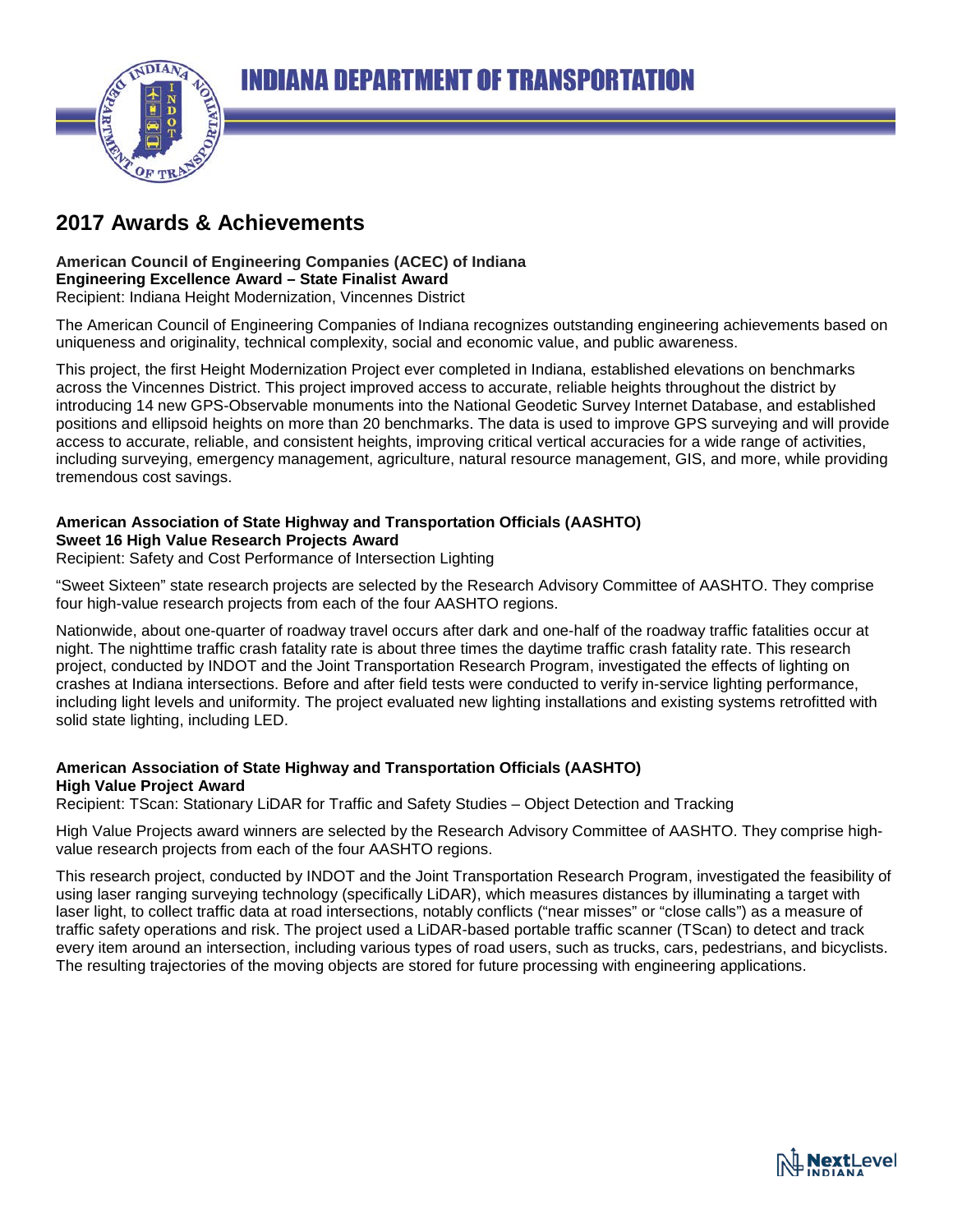

# **2017 Awards & Achievements**

#### **American Council of Engineering Companies (ACEC) of Indiana Engineering Excellence Award – State Finalist Award** Recipient: Indiana Height Modernization, Vincennes District

The American Council of Engineering Companies of Indiana recognizes outstanding engineering achievements based on uniqueness and originality, technical complexity, social and economic value, and public awareness.

This project, the first Height Modernization Project ever completed in Indiana, established elevations on benchmarks across the Vincennes District. This project improved access to accurate, reliable heights throughout the district by introducing 14 new GPS-Observable monuments into the National Geodetic Survey Internet Database, and established positions and ellipsoid heights on more than 20 benchmarks. The data is used to improve GPS surveying and will provide access to accurate, reliable, and consistent heights, improving critical vertical accuracies for a wide range of activities, including surveying, emergency management, agriculture, natural resource management, GIS, and more, while providing tremendous cost savings.

#### **American Association of State Highway and Transportation Officials (AASHTO) Sweet 16 High Value Research Projects Award**

Recipient: Safety and Cost Performance of Intersection Lighting

"Sweet Sixteen" state research projects are selected by the Research Advisory Committee of AASHTO. They comprise four high-value research projects from each of the four AASHTO regions.

Nationwide, about one-quarter of roadway travel occurs after dark and one-half of the roadway traffic fatalities occur at night. The nighttime traffic crash fatality rate is about three times the daytime traffic crash fatality rate. This research project, conducted by INDOT and the Joint Transportation Research Program, investigated the effects of lighting on crashes at Indiana intersections. Before and after field tests were conducted to verify in-service lighting performance, including light levels and uniformity. The project evaluated new lighting installations and existing systems retrofitted with solid state lighting, including LED.

#### **American Association of State Highway and Transportation Officials (AASHTO) High Value Project Award**

Recipient: TScan: Stationary LiDAR for Traffic and Safety Studies – Object Detection and Tracking

High Value Projects award winners are selected by the Research Advisory Committee of AASHTO. They comprise highvalue research projects from each of the four AASHTO regions.

This research project, conducted by INDOT and the Joint Transportation Research Program, investigated the feasibility of using laser ranging surveying technology (specifically LiDAR), which measures distances by illuminating a target with laser light, to collect traffic data at road intersections, notably conflicts ("near misses" or "close calls") as a measure of traffic safety operations and risk. The project used a LiDAR-based portable traffic scanner (TScan) to detect and track every item around an intersection, including various types of road users, such as trucks, cars, pedestrians, and bicyclists. The resulting trajectories of the moving objects are stored for future processing with engineering applications.

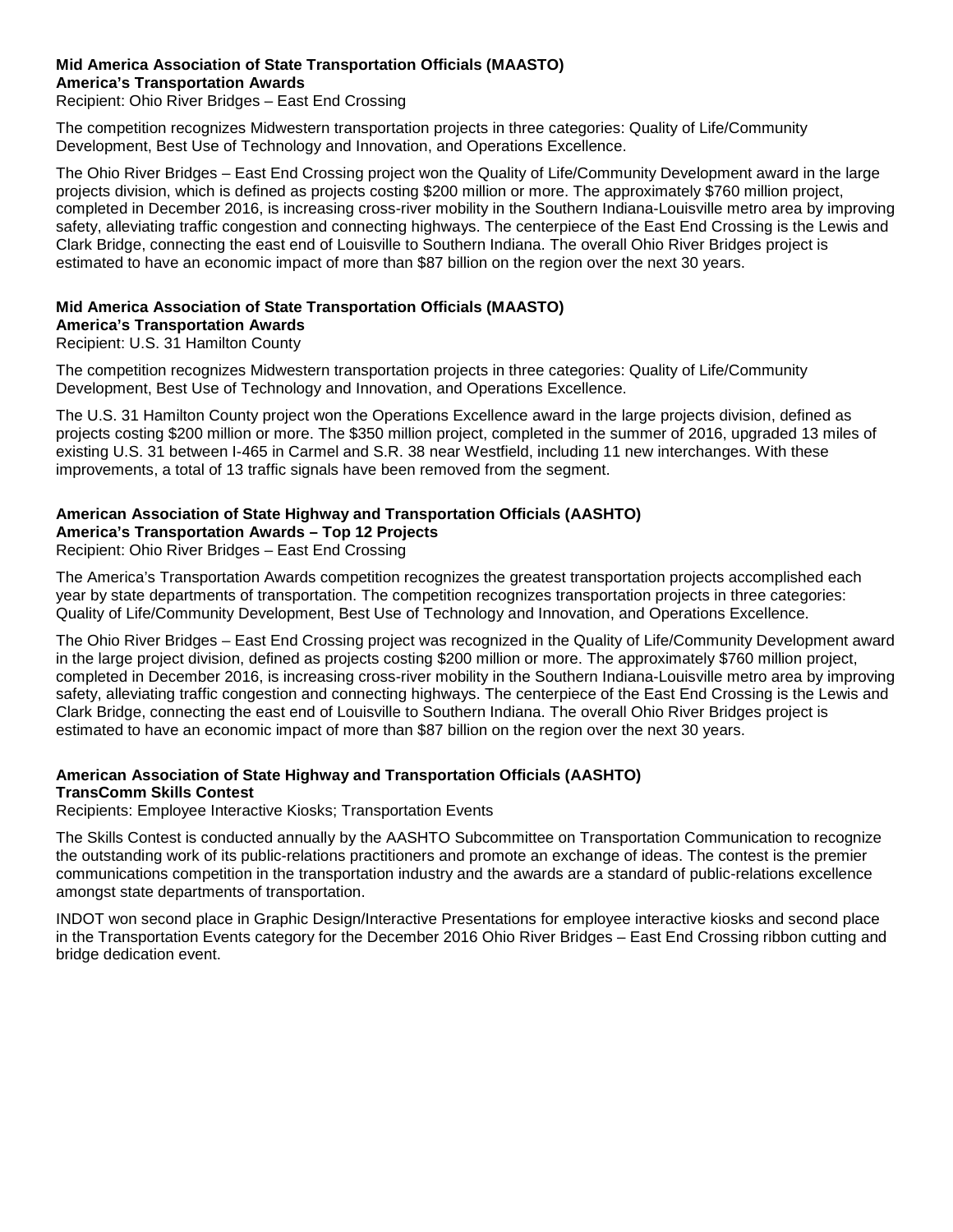#### **Mid America Association of State Transportation Officials (MAASTO) America's Transportation Awards**

Recipient: Ohio River Bridges – East End Crossing

The competition recognizes Midwestern transportation projects in three categories: Quality of Life/Community Development, Best Use of Technology and Innovation, and Operations Excellence.

The Ohio River Bridges – East End Crossing project won the Quality of Life/Community Development award in the large projects division, which is defined as projects costing \$200 million or more. The approximately \$760 million project, completed in December 2016, is increasing cross-river mobility in the Southern Indiana-Louisville metro area by improving safety, alleviating traffic congestion and connecting highways. The centerpiece of the East End Crossing is the Lewis and Clark Bridge, connecting the east end of Louisville to Southern Indiana. The overall Ohio River Bridges project is estimated to have an economic impact of more than \$87 billion on the region over the next 30 years.

## **Mid America Association of State Transportation Officials (MAASTO)**

**America's Transportation Awards**

Recipient: U.S. 31 Hamilton County

The competition recognizes Midwestern transportation projects in three categories: Quality of Life/Community Development, Best Use of Technology and Innovation, and Operations Excellence.

The U.S. 31 Hamilton County project won the Operations Excellence award in the large projects division, defined as projects costing \$200 million or more. The \$350 million project, completed in the summer of 2016, upgraded 13 miles of existing U.S. 31 between I-465 in Carmel and S.R. 38 near Westfield, including 11 new interchanges. With these improvements, a total of 13 traffic signals have been removed from the segment.

#### **American Association of State Highway and Transportation Officials (AASHTO) America's Transportation Awards – Top 12 Projects**

Recipient: Ohio River Bridges – East End Crossing

The America's Transportation Awards competition recognizes the greatest transportation projects accomplished each year by state departments of transportation. The competition recognizes transportation projects in three categories: Quality of Life/Community Development, Best Use of Technology and Innovation, and Operations Excellence.

The Ohio River Bridges – East End Crossing project was recognized in the Quality of Life/Community Development award in the large project division, defined as projects costing \$200 million or more. The approximately \$760 million project, completed in December 2016, is increasing cross-river mobility in the Southern Indiana-Louisville metro area by improving safety, alleviating traffic congestion and connecting highways. The centerpiece of the East End Crossing is the Lewis and Clark Bridge, connecting the east end of Louisville to Southern Indiana. The overall Ohio River Bridges project is estimated to have an economic impact of more than \$87 billion on the region over the next 30 years.

## **American Association of State Highway and Transportation Officials (AASHTO) TransComm Skills Contest**

Recipients: Employee Interactive Kiosks; Transportation Events

The Skills Contest is conducted annually by the AASHTO Subcommittee on Transportation Communication to recognize the outstanding work of its public-relations practitioners and promote an exchange of ideas. The contest is the premier communications competition in the transportation industry and the awards are a standard of public-relations excellence amongst state departments of transportation.

INDOT won second place in Graphic Design/Interactive Presentations for employee interactive kiosks and second place in the Transportation Events category for the December 2016 Ohio River Bridges – East End Crossing ribbon cutting and bridge dedication event.